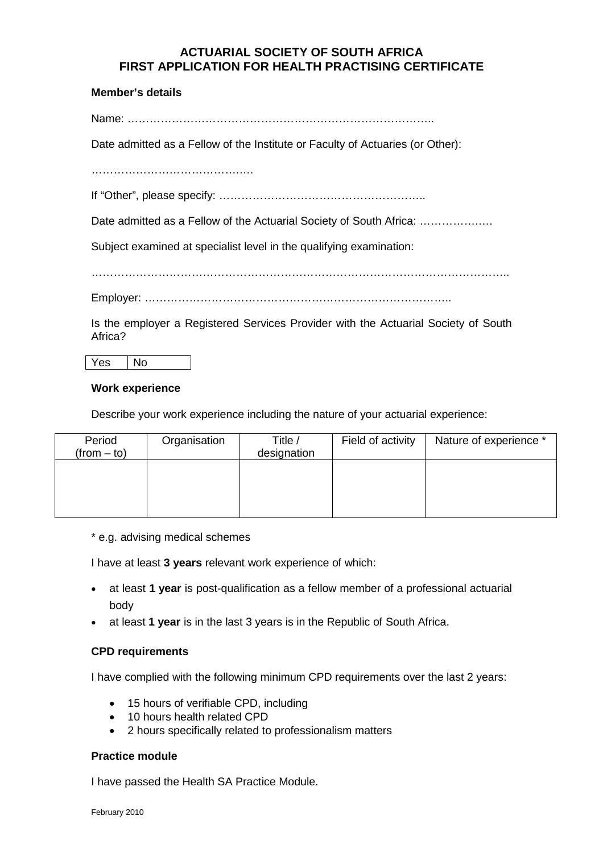# **ACTUARIAL SOCIETY OF SOUTH AFRICA FIRST APPLICATION FOR HEALTH PRACTISING CERTIFICATE**

## **Member's details**

Name: ………………………………………………………………………..

Date admitted as a Fellow of the Institute or Faculty of Actuaries (or Other):

………………………………….….

If "Other", please specify: ………………………………………………..

Date admitted as a Fellow of the Actuarial Society of South Africa: ...................

Subject examined at specialist level in the qualifying examination:

…………………………………………………………………………………………………..

Employer: ………………………………………………………………………..

Is the employer a Registered Services Provider with the Actuarial Society of South Africa?

Yes No

#### **Work experience**

Describe your work experience including the nature of your actuarial experience:

| Period<br>$(from - to)$ | Organisation | Title /<br>designation | Field of activity | Nature of experience * |
|-------------------------|--------------|------------------------|-------------------|------------------------|
|                         |              |                        |                   |                        |
|                         |              |                        |                   |                        |
|                         |              |                        |                   |                        |

\* e.g. advising medical schemes

I have at least **3 years** relevant work experience of which:

- at least **1 year** is post-qualification as a fellow member of a professional actuarial body
- at least **1 year** is in the last 3 years is in the Republic of South Africa.

#### **CPD requirements**

I have complied with the following minimum CPD requirements over the last 2 years:

- 15 hours of verifiable CPD, including
- 10 hours health related CPD
- 2 hours specifically related to professionalism matters

#### **Practice module**

I have passed the Health SA Practice Module.